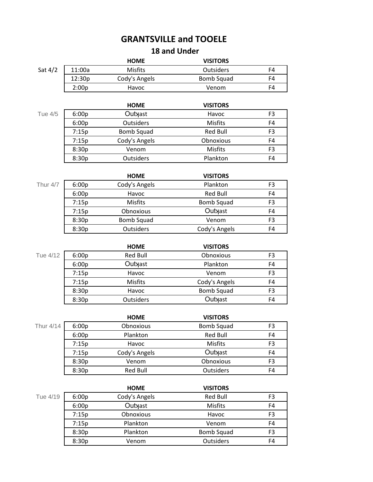## **GRANTSVILLE and TOOELE 18 and Under**

## **HOME VISITORS** Sat 4/2 | 11:00a Misfits **COMIT CONTENT OUTSIDERS** F4 12:30p Cody's Angels Bomb Squad F4 2:00p Havoc Venom F4 **HOME VISITORS** Tue 4/5 6:00p Outyast Havoc F3 6:00p Outsiders Misfits F4 7:15p Bomb Squad Red Bull F3 7:15p Cody's Angels Conoxious F4 8:30p Venom Misfits F3 8:30p Outsiders Plankton F4 **HOME VISITORS** Thur 4/7 6:00p Cody's Angels Plankton F3 6:00p Havoc Red Bull F4 7:15p Misfits Bomb Squad F3 7:15p Obnoxious Outyast F4 8:30p Bomb Squad Senom F3 8:30p Outsiders Cody's Angels F4

|          |       | <b>HOME</b>      | <b>VISITORS</b> |                |
|----------|-------|------------------|-----------------|----------------|
| Tue 4/12 | 6:00p | Red Bull         | Obnoxious       | F3             |
|          | 6:00p | Outyast          | Plankton        | F4             |
|          | 7:15p | Havoc            | Venom           | F3             |
|          | 7:15p | Misfits          | Cody's Angels   | F4             |
|          | 8:30p | Havoc            | Bomb Squad      | F <sub>3</sub> |
|          | 8:30p | <b>Outsiders</b> | Outyast         | F4             |

|           |       | <b>HOME</b>   | <b>VISITORS</b>   |                |
|-----------|-------|---------------|-------------------|----------------|
| Thur 4/14 | 6:00p | Obnoxious     | <b>Bomb Squad</b> | F <sub>3</sub> |
|           | 6:00p | Plankton      | <b>Red Bull</b>   | F4             |
|           | 7:15p | Havoc         | <b>Misfits</b>    | F <sub>3</sub> |
|           | 7:15p | Cody's Angels | Outyast           | F <sub>4</sub> |
|           | 8:30p | Venom         | Obnoxious         | F <sub>3</sub> |
|           | 8:30p | Red Bull      | Outsiders         | F4             |

| <b>VISITORS</b>                     |
|-------------------------------------|
| Red Bull<br>F3                      |
| <b>Misfits</b><br>F4                |
| F3<br>Havoc                         |
| F4<br>Venom                         |
| <b>Bomb Squad</b><br>F <sub>3</sub> |
| Outsiders<br>F4                     |
|                                     |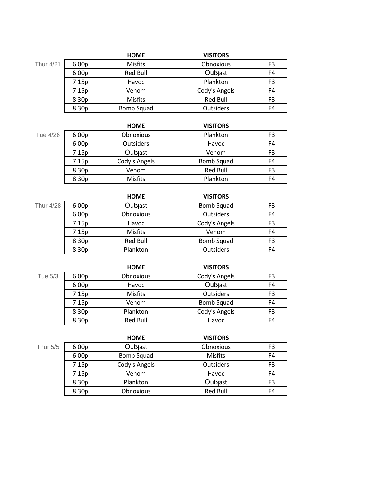|           |       | <b>HOME</b>    | <b>VISITORS</b>  |                |
|-----------|-------|----------------|------------------|----------------|
| Thur 4/21 | 6:00p | <b>Misfits</b> | Obnoxious        | F <sub>3</sub> |
|           | 6:00p | Red Bull       | Outyast          | F4             |
|           | 7:15p | Havoc          | Plankton         | F3             |
|           | 7:15p | Venom          | Cody's Angels    | F4             |
|           | 8:30p | <b>Misfits</b> | Red Bull         | F3             |
|           | 8:30p | Bomb Squad     | <b>Outsiders</b> | F4             |

|          |       | <b>HOME</b>    | <b>VISITORS</b> |                |
|----------|-------|----------------|-----------------|----------------|
| Tue 4/26 | 6:00p | Obnoxious      | Plankton        | F <sub>3</sub> |
|          | 6:00p | Outsiders      | Havoc           | F4             |
|          | 7:15p | Outyast        | Venom           | F3             |
|          | 7:15p | Cody's Angels  | Bomb Squad      | F4             |
|          | 8:30p | Venom          | <b>Red Bull</b> | F3             |
|          | 8:30p | <b>Misfits</b> | Plankton        | F4             |

|       | <b>HOME</b>    | <b>VISITORS</b>   |    |
|-------|----------------|-------------------|----|
| 6:00p | Outyast        | <b>Bomb Squad</b> | F3 |
| 6:00p | Obnoxious      | <b>Outsiders</b>  | F4 |
| 7:15p | Havoc          | Cody's Angels     | F3 |
| 7:15p | <b>Misfits</b> | Venom             | F4 |
| 8:30p | Red Bull       | <b>Bomb Squad</b> | F3 |
| 8:30p | Plankton       | Outsiders         | F4 |
|       |                |                   |    |

**HOME VISITORS** Tue 5/3 6:00p Obnoxious Cody's Angels F3 6:00p Havoc Outyast F4 7:15p Misfits Outsiders F3 7:15p Venom Bomb Squad F4 8:30p Plankton Cody's Angels F3 8:30p Red Bull Havoc F4

|          |       | <b>HOME</b>   | <b>VISITORS</b>  |    |
|----------|-------|---------------|------------------|----|
| Thur 5/5 | 6:00p | Outyast       | Obnoxious        | F3 |
|          | 6:00p | Bomb Squad    | Misfits          | F4 |
|          | 7:15p | Cody's Angels | <b>Outsiders</b> | F3 |
|          | 7:15p | Venom         | Havoc            | F4 |
|          | 8:30p | Plankton      | Outyast          | F3 |
|          | 8:30p | Obnoxious     | <b>Red Bull</b>  | F4 |